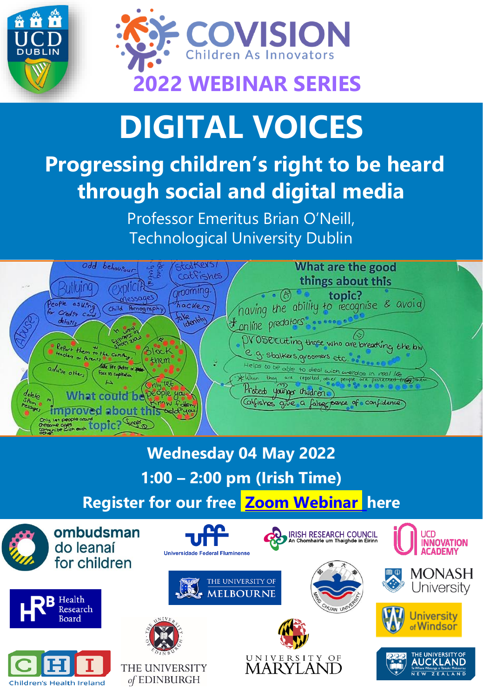



## **DIGITAL VOICES**

## **Progressing children's right to be heard through social and digital media**

Professor Emeritus Brian O'Neill, Technological University Dublin



**Wednesday 04 May 2022 1:00 – 2:00 pm (Irish Time)**

**Register for our free [Zoom Webinar](https://ucd-ie.zoom.us/webinar/register/WN_hwFzVF31TYuIwmtLWidJ9g) here**